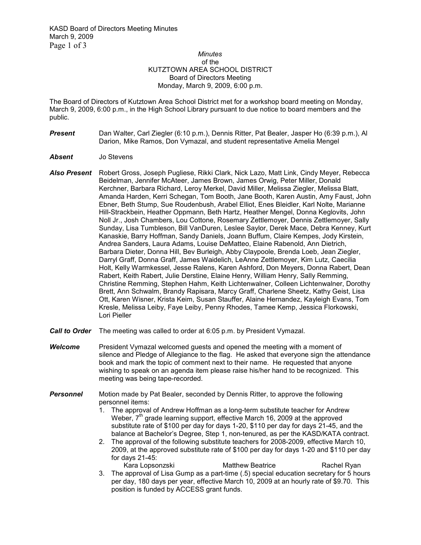## *Minutes*  of the KUTZTOWN AREA SCHOOL DISTRICT Board of Directors Meeting Monday, March 9, 2009, 6:00 p.m.

The Board of Directors of Kutztown Area School District met for a workshop board meeting on Monday, March 9, 2009, 6:00 p.m., in the High School Library pursuant to due notice to board members and the public.

- *Present* Dan Walter, Carl Ziegler (6:10 p.m.), Dennis Ritter, Pat Bealer, Jasper Ho (6:39 p.m.), Al Darion, Mike Ramos, Don Vymazal, and student representative Amelia Mengel
- *Absent* Jo Stevens
- *Also Present* Robert Gross, Joseph Pugliese, Rikki Clark, Nick Lazo, Matt Link, Cindy Meyer, Rebecca Beidelman, Jennifer McAteer, James Brown, James Orwig, Peter Miller, Donald Kerchner, Barbara Richard, Leroy Merkel, David Miller, Melissa Ziegler, Melissa Blatt, Amanda Harden, Kerri Schegan, Tom Booth, Jane Booth, Karen Austin, Amy Faust, John Ebner, Beth Stump, Sue Roudenbush, Arabel Elliot, Enes Bleidler, Karl Nolte, Marianne Hill-Strackbein, Heather Oppmann, Beth Hartz, Heather Mengel, Donna Keglovits, John Noll Jr., Josh Chambers, Lou Cottone, Rosemary Zettlemoyer, Dennis Zettlemoyer, Sally Sunday, Lisa Tumbleson, Bill VanDuren, Leslee Saylor, Derek Mace, Debra Kenney, Kurt Kanaskie, Barry Hoffman, Sandy Daniels, Joann Buffum, Claire Kempes, Jody Kirstein, Andrea Sanders, Laura Adams, Louise DeMatteo, Elaine Rabenold, Ann Dietrich, Barbara Dieter, Donna Hill, Bev Burleigh, Abby Claypoole, Brenda Loeb, Jean Ziegler, Darryl Graff, Donna Graff, James Waidelich, LeAnne Zettlemoyer, Kim Lutz, Caecilia Holt, Kelly Warmkessel, Jesse Ralens, Karen Ashford, Don Meyers, Donna Rabert, Dean Rabert, Keith Rabert, Julie Derstine, Elaine Henry, William Henry, Sally Remming, Christine Remming, Stephen Hahm, Keith Lichtenwalner, Colleen Lichtenwalner, Dorothy Brett, Ann Schwalm, Brandy Rapisara, Marcy Graff, Charlene Sheetz, Kathy Geist, Lisa Ott, Karen Wisner, Krista Keim, Susan Stauffer, Alaine Hernandez, Kayleigh Evans, Tom Kresle, Melissa Leiby, Faye Leiby, Penny Rhodes, Tamee Kemp, Jessica Florkowski, Lori Pieller
- *Call to Order* The meeting was called to order at 6:05 p.m. by President Vymazal.
- *Welcome* President Vymazal welcomed guests and opened the meeting with a moment of silence and Pledge of Allegiance to the flag. He asked that everyone sign the attendance book and mark the topic of comment next to their name. He requested that anyone wishing to speak on an agenda item please raise his/her hand to be recognized. This meeting was being tape-recorded.
- **Personnel** Motion made by Pat Bealer, seconded by Dennis Ritter, to approve the following personnel items:
	- 1. The approval of Andrew Hoffman as a long-term substitute teacher for Andrew Weber,  $7<sup>th</sup>$  grade learning support, effective March 16, 2009 at the approved substitute rate of \$100 per day for days 1-20, \$110 per day for days 21-45, and the balance at Bachelor's Degree, Step 1, non-tenured, as per the KASD/KATA contract.
	- 2. The approval of the following substitute teachers for 2008-2009, effective March 10, 2009, at the approved substitute rate of \$100 per day for days 1-20 and \$110 per day for days 21-45:
	- Kara Lopsonzski Matthew Beatrice Rachel Ryan 3. The approval of Lisa Gump as a part-time (.5) special education secretary for 5 hours per day, 180 days per year, effective March 10, 2009 at an hourly rate of \$9.70. This position is funded by ACCESS grant funds.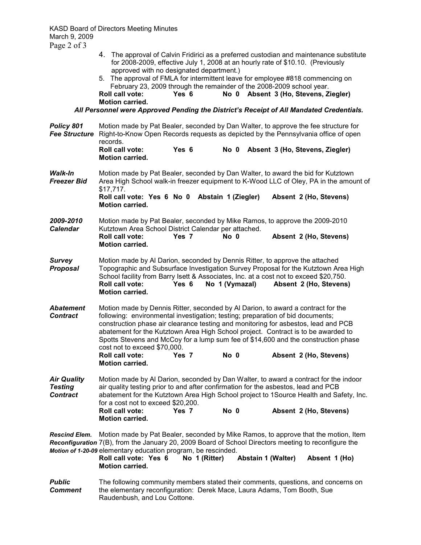- 4. The approval of Calvin Fridirici as a preferred custodian and maintenance substitute for 2008-2009, effective July 1, 2008 at an hourly rate of \$10.10. (Previously approved with no designated department.)
- 5. The approval of FMLA for intermittent leave for employee #818 commencing on February 23, 2009 through the remainder of the 2008-2009 school year.<br> **Roll call vote: Yes 6 No 0 Absent 3 (Ho, Stevens, Z No 0 Absent 3 (Ho, Stevens, Ziegler) Motion carried.**

*All Personnel were Approved Pending the District's Receipt of All Mandated Credentials.*

| Policy 801<br><b>Fee Structure</b>                      | Motion made by Pat Bealer, seconded by Dan Walter, to approve the fee structure for<br>Right-to-Know Open Records requests as depicted by the Pennsylvania office of open<br>records.                                                                                                                                                                                                                                                                               |               |                           |                                                                                                                                                                                                              |  |
|---------------------------------------------------------|---------------------------------------------------------------------------------------------------------------------------------------------------------------------------------------------------------------------------------------------------------------------------------------------------------------------------------------------------------------------------------------------------------------------------------------------------------------------|---------------|---------------------------|--------------------------------------------------------------------------------------------------------------------------------------------------------------------------------------------------------------|--|
|                                                         | <b>Roll call vote:</b><br><b>Motion carried.</b>                                                                                                                                                                                                                                                                                                                                                                                                                    | Yes 6         | No 0                      | Absent 3 (Ho, Stevens, Ziegler)                                                                                                                                                                              |  |
| Walk-In<br><b>Freezer Bid</b>                           | Motion made by Pat Bealer, seconded by Dan Walter, to award the bid for Kutztown<br>Area High School walk-in freezer equipment to K-Wood LLC of Oley, PA in the amount of<br>$$17,717$ .                                                                                                                                                                                                                                                                            |               |                           |                                                                                                                                                                                                              |  |
|                                                         | Roll call vote: Yes 6 No 0 Abstain 1 (Ziegler)<br><b>Motion carried.</b>                                                                                                                                                                                                                                                                                                                                                                                            |               |                           | Absent 2 (Ho, Stevens)                                                                                                                                                                                       |  |
| 2009-2010<br><b>Calendar</b>                            | Motion made by Pat Bealer, seconded by Mike Ramos, to approve the 2009-2010<br>Kutztown Area School District Calendar per attached.                                                                                                                                                                                                                                                                                                                                 |               |                           |                                                                                                                                                                                                              |  |
|                                                         | <b>Roll call vote:</b><br><b>Motion carried.</b>                                                                                                                                                                                                                                                                                                                                                                                                                    | Yes 7         | No 0                      | Absent 2 (Ho, Stevens)                                                                                                                                                                                       |  |
| <b>Survey</b><br><b>Proposal</b>                        | Motion made by AI Darion, seconded by Dennis Ritter, to approve the attached<br>Roll call vote:<br><b>Motion carried.</b>                                                                                                                                                                                                                                                                                                                                           | Yes 6         | No 1 (Vymazal)            | Topographic and Subsurface Investigation Survey Proposal for the Kutztown Area High<br>School facility from Barry Isett & Associates, Inc. at a cost not to exceed \$20,750.<br>Absent 2 (Ho, Stevens)       |  |
| <b>Abatement</b><br><b>Contract</b>                     | Motion made by Dennis Ritter, seconded by Al Darion, to award a contract for the<br>following: environmental investigation; testing; preparation of bid documents;<br>construction phase air clearance testing and monitoring for asbestos, lead and PCB<br>abatement for the Kutztown Area High School project. Contract is to be awarded to<br>Spotts Stevens and McCoy for a lump sum fee of \$14,600 and the construction phase<br>cost not to exceed \$70,000. |               |                           |                                                                                                                                                                                                              |  |
|                                                         | <b>Roll call vote:</b><br><b>Motion carried.</b>                                                                                                                                                                                                                                                                                                                                                                                                                    | Yes 7         | No 0                      | Absent 2 (Ho, Stevens)                                                                                                                                                                                       |  |
| <b>Air Quality</b><br><b>Testing</b><br><b>Contract</b> | Motion made by AI Darion, seconded by Dan Walter, to award a contract for the indoor<br>air quality testing prior to and after confirmation for the asbestos, lead and PCB<br>abatement for the Kutztown Area High School project to 1Source Health and Safety, Inc.<br>for a cost not to exceed \$20,200.                                                                                                                                                          |               |                           |                                                                                                                                                                                                              |  |
|                                                         | <b>Roll call vote:</b><br><b>Motion carried.</b>                                                                                                                                                                                                                                                                                                                                                                                                                    | Yes 7         | No 0                      | Absent 2 (Ho, Stevens)                                                                                                                                                                                       |  |
| <b>Rescind Elem.</b>                                    | Motion of 1-20-09 elementary education program, be rescinded.<br>Roll call vote: Yes 6<br><b>Motion carried.</b>                                                                                                                                                                                                                                                                                                                                                    | No 1 (Ritter) | <b>Abstain 1 (Walter)</b> | Motion made by Pat Bealer, seconded by Mike Ramos, to approve that the motion, Item<br>Reconfiguration 7(B), from the January 20, 2009 Board of School Directors meeting to reconfigure the<br>Absent 1 (Ho) |  |
| <b>Public</b><br><b>Comment</b>                         | The following community members stated their comments, questions, and concerns on<br>the elementary reconfiguration: Derek Mace, Laura Adams, Tom Booth, Sue                                                                                                                                                                                                                                                                                                        |               |                           |                                                                                                                                                                                                              |  |

Raudenbush, and Lou Cottone.